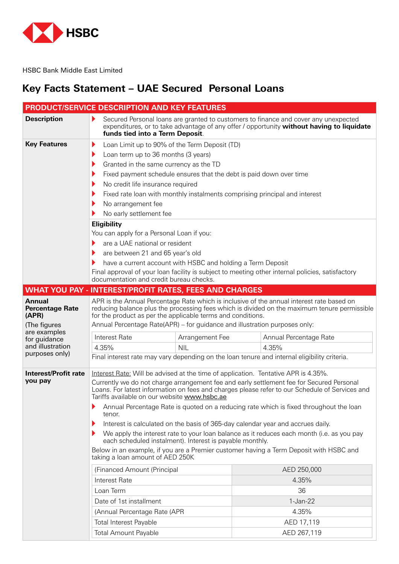

HSBC Bank Middle East Limited

# **Key Facts Statement - UAE Secured Personal Loans**

| PRODUCT/SERVICE DESCRIPTION AND KEY FEATURES                     |                                                                                                                                                                                                                                                                                                                                        |                                                                                           |  |  |  |  |
|------------------------------------------------------------------|----------------------------------------------------------------------------------------------------------------------------------------------------------------------------------------------------------------------------------------------------------------------------------------------------------------------------------------|-------------------------------------------------------------------------------------------|--|--|--|--|
| <b>Description</b>                                               | Secured Personal loans are granted to customers to finance and cover any unexpected<br>expenditures, or to take advantage of any offer / opportunity without having to liquidate<br>funds tied into a Term Deposit.                                                                                                                    |                                                                                           |  |  |  |  |
| <b>Key Features</b><br>▶                                         | Loan Limit up to 90% of the Term Deposit (TD)                                                                                                                                                                                                                                                                                          |                                                                                           |  |  |  |  |
|                                                                  | Loan term up to 36 months (3 years)                                                                                                                                                                                                                                                                                                    |                                                                                           |  |  |  |  |
| ▶                                                                | Granted in the same currency as the TD                                                                                                                                                                                                                                                                                                 |                                                                                           |  |  |  |  |
|                                                                  | Fixed payment schedule ensures that the debt is paid down over time                                                                                                                                                                                                                                                                    |                                                                                           |  |  |  |  |
|                                                                  | No credit life insurance required                                                                                                                                                                                                                                                                                                      |                                                                                           |  |  |  |  |
|                                                                  |                                                                                                                                                                                                                                                                                                                                        | Fixed rate loan with monthly instalments comprising principal and interest                |  |  |  |  |
|                                                                  | No arrangement fee                                                                                                                                                                                                                                                                                                                     |                                                                                           |  |  |  |  |
|                                                                  | No early settlement fee                                                                                                                                                                                                                                                                                                                |                                                                                           |  |  |  |  |
|                                                                  | <b>Eligibility</b>                                                                                                                                                                                                                                                                                                                     |                                                                                           |  |  |  |  |
|                                                                  | You can apply for a Personal Loan if you:                                                                                                                                                                                                                                                                                              |                                                                                           |  |  |  |  |
|                                                                  | are a UAE national or resident                                                                                                                                                                                                                                                                                                         |                                                                                           |  |  |  |  |
| ▶                                                                | are between 21 and 65 year's old                                                                                                                                                                                                                                                                                                       |                                                                                           |  |  |  |  |
|                                                                  | have a current account with HSBC and holding a Term Deposit                                                                                                                                                                                                                                                                            |                                                                                           |  |  |  |  |
|                                                                  | Final approval of your loan facility is subject to meeting other internal policies, satisfactory<br>documentation and credit bureau checks.                                                                                                                                                                                            |                                                                                           |  |  |  |  |
| <b>WHAT YOU PAY - INTEREST/PROFIT RATES, FEES AND CHARGES</b>    |                                                                                                                                                                                                                                                                                                                                        |                                                                                           |  |  |  |  |
| <b>Annual</b><br><b>Percentage Rate</b><br>(APR)<br>(The figures | APR is the Annual Percentage Rate which is inclusive of the annual interest rate based on<br>reducing balance plus the processing fees which is divided on the maximum tenure permissible<br>for the product as per the applicable terms and conditions.<br>Annual Percentage Rate(APR) – for guidance and illustration purposes only: |                                                                                           |  |  |  |  |
| are examples                                                     |                                                                                                                                                                                                                                                                                                                                        |                                                                                           |  |  |  |  |
| Interest Rate<br>for guidance<br>and illustration                | Arrangement Fee                                                                                                                                                                                                                                                                                                                        | Annual Percentage Rate                                                                    |  |  |  |  |
| 4.35%<br>purposes only)                                          | <b>NIL</b>                                                                                                                                                                                                                                                                                                                             | 4.35%                                                                                     |  |  |  |  |
|                                                                  | Final interest rate may vary depending on the loan tenure and internal eligibility criteria.                                                                                                                                                                                                                                           |                                                                                           |  |  |  |  |
| <b>Interest/Profit rate</b><br>you pay                           | Interest Rate: Will be advised at the time of application. Tentative APR is 4.35%.<br>Currently we do not charge arrangement fee and early settlement fee for Secured Personal<br>Loans. For latest information on fees and charges please refer to our Schedule of Services and<br>Tariffs available on our website www.hsbc.ae       |                                                                                           |  |  |  |  |
| tenor.                                                           | Annual Percentage Rate is quoted on a reducing rate which is fixed throughout the loan<br>Interest is calculated on the basis of 365-day calendar year and accrues daily.                                                                                                                                                              |                                                                                           |  |  |  |  |
|                                                                  |                                                                                                                                                                                                                                                                                                                                        | We apply the interest rate to your loan balance as it reduces each month (i.e. as you pay |  |  |  |  |
|                                                                  | each scheduled instalment). Interest is payable monthly.                                                                                                                                                                                                                                                                               |                                                                                           |  |  |  |  |
|                                                                  | Below in an example, if you are a Premier customer having a Term Deposit with HSBC and<br>taking a loan amount of AED 250K                                                                                                                                                                                                             |                                                                                           |  |  |  |  |
|                                                                  | (Financed Amount (Principal                                                                                                                                                                                                                                                                                                            | AED 250,000                                                                               |  |  |  |  |
| Interest Rate                                                    |                                                                                                                                                                                                                                                                                                                                        | 4.35%                                                                                     |  |  |  |  |
| Loan Term                                                        |                                                                                                                                                                                                                                                                                                                                        | 36                                                                                        |  |  |  |  |
|                                                                  | Date of 1st installment                                                                                                                                                                                                                                                                                                                | 1-Jan-22                                                                                  |  |  |  |  |
|                                                                  |                                                                                                                                                                                                                                                                                                                                        | 4.35%                                                                                     |  |  |  |  |
|                                                                  | (Annual Percentage Rate (APR                                                                                                                                                                                                                                                                                                           |                                                                                           |  |  |  |  |
|                                                                  | <b>Total Interest Payable</b>                                                                                                                                                                                                                                                                                                          | AED 17,119                                                                                |  |  |  |  |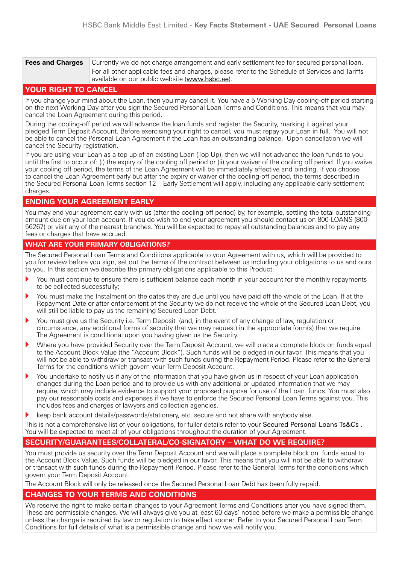| <b>Fees and Charges</b> | Currently we do not charge arrangement and early settlement fee for secured personal loan.                                                        |  |  |
|-------------------------|---------------------------------------------------------------------------------------------------------------------------------------------------|--|--|
|                         | For all other applicable fees and charges, please refer to the Schedule of Services and Tariffs<br>available on our public website (www.hsbc.ae). |  |  |

### **YOUR RIGHT TO CANCEL**

If you change your mind about the Loan, then you may cancel it. You have a 5 Working Day cooling-off period starting on the next Working Day after you sign the Secured Personal Loan Terms and Conditions. This means that you may cancel the Loan Agreement during this period.

During the cooling-off period we will advance the loan funds and register the Security, marking it against your pledged Term Deposit Account. Before exercising your right to cancel, you must repay your Loan in full. You will not be able to cancel the Personal Loan Agreement if the Loan has an outstanding balance. Upon cancellation we will cancel the Security registration.

If you are using your Loan as a top up of an existing Loan (Top Up), then we will not advance the loan funds to you until the first to occur of: (i) the expiry of the cooling off period or (ii) your waiver of the cooling off period. If you waive your cooling off period, the terms of the Loan Agreement will be immediately effective and binding. If you choose to cancel the Loan Agreement early but after the expiry or waiver of the cooling-off period, the terms described in the Secured Personal Loan Terms section 12 – Early Settlement will apply, including any applicable early settlement .charges

## **ENDING YOUR AGREEMENT EARLY**

You may end your agreement early with us (after the cooling-off period) by, for example, settling the total outstanding amount due on your loan account. If you do wish to end your agreement you should contact us on 800-LOANS (800-56267) or visit any of the nearest branches. You will be expected to repay all outstanding balances and to pay any fees or charges that have accrued.

### **WHAT ARE YOUR PRIMARY OBLIGATIONS?**

The Secured Personal Loan Terms and Conditions applicable to your Agreement with us, which will be provided to you for review before you sign, set out the terms of the contract between us including your obligations to us and ours to you. In this section we describe the primary obligations applicable to this Product.

- You must continue to ensure there is sufficient balance each month in your account for the monthly repayments to be collected successfully;
- You must make the Instalment on the dates they are due until you have paid off the whole of the Loan. If at the Repayment Date or after enforcement of the Security we do not receive the whole of the Secured Loan Debt, you will still be liable to pay us the remaining Secured Loan Debt.
- You must give us the Security i.e. Term Deposit (and, in the event of any change of law, regulation or circumstance, any additional forms of security that we may request) in the appropriate form(s) that we require. The Agreement is conditional upon you having given us the Security.
- Where you have provided Security over the Term Deposit Account, we will place a complete block on funds equal to the Account Block Value (the "Account Block"). Such funds will be pledged in our favor. This means that you will not be able to withdraw or transact with such funds during the Repayment Period. Please refer to the General Terms for the conditions which govern your Term Deposit Account.
- You undertake to notify us if any of the information that you have given us in respect of your Loan application changes during the Loan period and to provide us with any additional or updated information that we may require, which may include evidence to support your proposed purpose for use of the Loan funds. You must also pay our reasonable costs and expenses if we have to enforce the Secured Personal Loan Terms against you. This includes fees and charges of lawyers and collection agencies.
- keep bank account details/passwords/stationery, etc. secure and not share with anybody else.

This is not a comprehensive list of your obligations, for fuller details refer to your Secured Personal Loans Ts&Cs. You will be expected to meet all of your obligations throughout the duration of your Agreement.

## SECURITY/GUARANTEES/COLLATERAL/CO-SIGNATORY – WHAT DO WE REQUIRE?

You must provide us security over the Term Deposit Account and we will place a complete block on funds equal to the Account Block Value. Such funds will be pledged in our favor. This means that you will not be able to withdraw or transact with such funds during the Repayment Period. Please refer to the General Terms for the conditions which govern your Term Deposit Account.

The Account Block will only be released once the Secured Personal Loan Debt has been fully repaid.

## **CHANGES TO YOUR TERMS AND CONDITIONS**

We reserve the right to make certain changes to your Agreement Terms and Conditions after you have signed them. These are permissible changes. We will always give you at least 60 days' notice before we make a permissible change unless the change is required by law or regulation to take effect sooner. Refer to your Secured Personal Loan Term Conditions for full details of what is a permissible change and how we will notify you.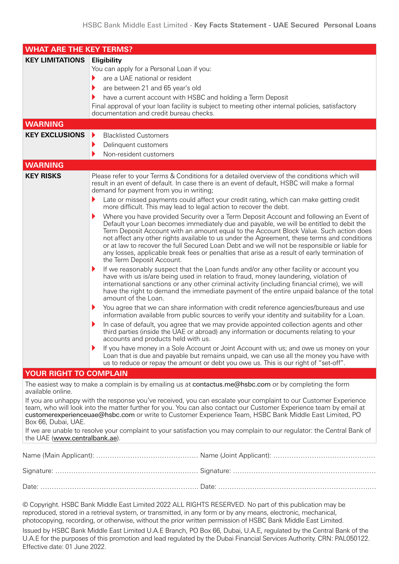| <b>WHAT ARE THE KEY TERMS?</b> |                                                                                                                                                                                                                                                                                                                                                                                                                                                                                                                                                                                                                                                                                                                                                                                                                                                                                                                                                                                                                                                                                                                                                                                                                                                                                                                                                                                                                                                                                                                                                                                                                                                                                                                                                                                                                                                                                                                                                                                                                                   |  |
|--------------------------------|-----------------------------------------------------------------------------------------------------------------------------------------------------------------------------------------------------------------------------------------------------------------------------------------------------------------------------------------------------------------------------------------------------------------------------------------------------------------------------------------------------------------------------------------------------------------------------------------------------------------------------------------------------------------------------------------------------------------------------------------------------------------------------------------------------------------------------------------------------------------------------------------------------------------------------------------------------------------------------------------------------------------------------------------------------------------------------------------------------------------------------------------------------------------------------------------------------------------------------------------------------------------------------------------------------------------------------------------------------------------------------------------------------------------------------------------------------------------------------------------------------------------------------------------------------------------------------------------------------------------------------------------------------------------------------------------------------------------------------------------------------------------------------------------------------------------------------------------------------------------------------------------------------------------------------------------------------------------------------------------------------------------------------------|--|
| <b>KEY LIMITATIONS</b>         | Eligibility<br>You can apply for a Personal Loan if you:<br>are a UAE national or resident<br>▶<br>are between 21 and 65 year's old<br>have a current account with HSBC and holding a Term Deposit<br>Final approval of your loan facility is subject to meeting other internal policies, satisfactory<br>documentation and credit bureau checks.                                                                                                                                                                                                                                                                                                                                                                                                                                                                                                                                                                                                                                                                                                                                                                                                                                                                                                                                                                                                                                                                                                                                                                                                                                                                                                                                                                                                                                                                                                                                                                                                                                                                                 |  |
| <b>WARNING</b>                 |                                                                                                                                                                                                                                                                                                                                                                                                                                                                                                                                                                                                                                                                                                                                                                                                                                                                                                                                                                                                                                                                                                                                                                                                                                                                                                                                                                                                                                                                                                                                                                                                                                                                                                                                                                                                                                                                                                                                                                                                                                   |  |
| <b>KEY EXCLUSIONS</b>          | <b>Blacklisted Customers</b><br>▶<br>Delinquent customers<br>▶<br>Non-resident customers                                                                                                                                                                                                                                                                                                                                                                                                                                                                                                                                                                                                                                                                                                                                                                                                                                                                                                                                                                                                                                                                                                                                                                                                                                                                                                                                                                                                                                                                                                                                                                                                                                                                                                                                                                                                                                                                                                                                          |  |
| <b>WARNING</b>                 |                                                                                                                                                                                                                                                                                                                                                                                                                                                                                                                                                                                                                                                                                                                                                                                                                                                                                                                                                                                                                                                                                                                                                                                                                                                                                                                                                                                                                                                                                                                                                                                                                                                                                                                                                                                                                                                                                                                                                                                                                                   |  |
| <b>KEY RISKS</b>               | Please refer to your Terms & Conditions for a detailed overview of the conditions which will<br>result in an event of default. In case there is an event of default, HSBC will make a formal<br>demand for payment from you in writing;<br>Late or missed payments could affect your credit rating, which can make getting credit<br>more difficult. This may lead to legal action to recover the debt.<br>Where you have provided Security over a Term Deposit Account and following an Event of<br>Default your Loan becomes immediately due and payable, we will be entitled to debit the<br>Term Deposit Account with an amount equal to the Account Block Value. Such action does<br>not affect any other rights available to us under the Agreement, these terms and conditions<br>or at law to recover the full Secured Loan Debt and we will not be responsible or liable for<br>any losses, applicable break fees or penalties that arise as a result of early termination of<br>the Term Deposit Account.<br>If we reasonably suspect that the Loan funds and/or any other facility or account you<br>have with us is/are being used in relation to fraud, money laundering, violation of<br>international sanctions or any other criminal activity (including financial crime), we will<br>have the right to demand the immediate payment of the entire unpaid balance of the total<br>amount of the Loan.<br>You agree that we can share information with credit reference agencies/bureaus and use<br>information available from public sources to verify your identity and suitability for a Loan.<br>In case of default, you agree that we may provide appointed collection agents and other<br>third parties (inside the UAE or abroad) any information or documents relating to your<br>accounts and products held with us.<br>If you have money in a Sole Account or Joint Account with us; and owe us money on your<br>Loan that is due and payable but remains unpaid, we can use all the money you have with |  |
|                                |                                                                                                                                                                                                                                                                                                                                                                                                                                                                                                                                                                                                                                                                                                                                                                                                                                                                                                                                                                                                                                                                                                                                                                                                                                                                                                                                                                                                                                                                                                                                                                                                                                                                                                                                                                                                                                                                                                                                                                                                                                   |  |
|                                |                                                                                                                                                                                                                                                                                                                                                                                                                                                                                                                                                                                                                                                                                                                                                                                                                                                                                                                                                                                                                                                                                                                                                                                                                                                                                                                                                                                                                                                                                                                                                                                                                                                                                                                                                                                                                                                                                                                                                                                                                                   |  |
| YOUR RIGHT TO COMPLAIN         | us to reduce or repay the amount or debt you owe us. This is our right of "set-off".<br>The easiest way to make a complain is by emailing us at contactus.me@hsbc.com or by completing the form                                                                                                                                                                                                                                                                                                                                                                                                                                                                                                                                                                                                                                                                                                                                                                                                                                                                                                                                                                                                                                                                                                                                                                                                                                                                                                                                                                                                                                                                                                                                                                                                                                                                                                                                                                                                                                   |  |

available online.

If you are unhappy with the response you've received, you can escalate your complaint to our Customer Experience team, who will look into the matter further for you. You can also contact our Customer Experience team by email at customerexperienceuae@hsbc.com or write to Customer Experience Team, HSBC Bank Middle East Limited, PO Box 66, Dubai, UAE.

If we are unable to resolve your complaint to your satisfaction you may complain to our regulator: the Central Bank of the UAE (www.centralbank.ae).

© Copyright. HSBC Bank Middle East Limited 2022 ALL RIGHTS RESERVED. No part of this publication may be reproduced, stored in a retrieval system, or transmitted, in any form or by any means, electronic, mechanical, photocopying, recording, or otherwise, without the prior written permission of HSBC Bank Middle East Limited.

Issued by HSBC Bank Middle East Limited U.A.E Branch, PO Box 66, Dubai, U.A.E, regulated by the Central Bank of the U.A.E for the purposes of this promotion and lead regulated by the Dubai Financial Services Authority. CRN: PAL050122. Effective date: 01 June 2022.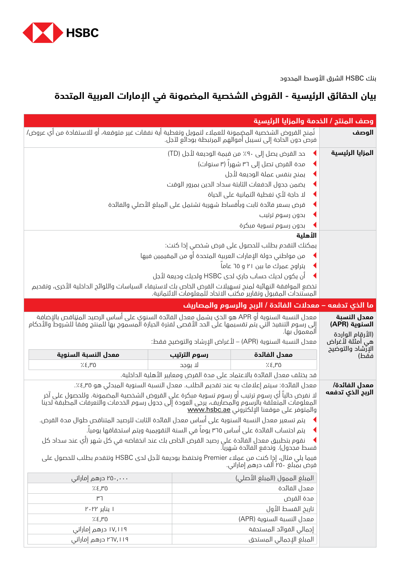

بنك HSBC الشرق األوسط المحدود

# **بيان الحقائق الرئيسية - القروض الشخصية المضمونة في اإلمارات العربية المتحدة**

| وصف المنتج / الخدمة والمزايا الرئيسية                                                                                                                                                                                                                 |                                       |                                                                         |                                                  |
|-------------------------------------------------------------------------------------------------------------------------------------------------------------------------------------------------------------------------------------------------------|---------------------------------------|-------------------------------------------------------------------------|--------------------------------------------------|
| تُمنح القروض الشخصية المضمونة للعملاء لتمويل وتغطية أية نفقات غير متوقعة، أو للاستفادة من أي عروض/                                                                                                                                                    |                                       | فرص دون الحاجة إلى تسيبل أموالهم المرتبطة بودائع لآجل.                  | الوصف                                            |
|                                                                                                                                                                                                                                                       |                                       | حد القرض يصل إلى 9٠٪ من قيمة الوديعة لأجل (TD)                          | المزايا الرئيسية                                 |
| مدة القرض تصل إلى ٣٦ شهراً (٣ سنوات)                                                                                                                                                                                                                  |                                       |                                                                         |                                                  |
| يمنح بنفس عملة الوديعة لأجل                                                                                                                                                                                                                           |                                       |                                                                         |                                                  |
| يضمن جدول الحفعات الثابتة سداد الحين بمرور الوقت                                                                                                                                                                                                      |                                       |                                                                         |                                                  |
|                                                                                                                                                                                                                                                       | لا حاجة لأي تغطية ائتمانية على الحياة |                                                                         |                                                  |
| قرض بسعر فائدة ثابت وبأفساط شهرية تشتمل على المبلغ الأصلي والفائدة                                                                                                                                                                                    |                                       |                                                                         |                                                  |
|                                                                                                                                                                                                                                                       |                                       | بدون رسوم ترتيب                                                         |                                                  |
|                                                                                                                                                                                                                                                       |                                       | بدون رسوم تسوية مبكرة                                                   |                                                  |
|                                                                                                                                                                                                                                                       |                                       |                                                                         |                                                  |
|                                                                                                                                                                                                                                                       |                                       | يمكنك التقدم بطلب للحصول على قرض شخصي إذا كنت:                          |                                                  |
|                                                                                                                                                                                                                                                       |                                       | من مواطني دولة الإمارات العربية المتحدة أو من المقيمين فيها             |                                                  |
|                                                                                                                                                                                                                                                       |                                       | پتراوح عمرك ما بين ٢١ و ٦٥ عاماً                                        |                                                  |
| آن يكون لديك حساب جاري لدى HSBC ولديك وديعة لأجل                                                                                                                                                                                                      |                                       |                                                                         |                                                  |
| تخضع الموافقة النهائية لمنح تسهيلات القرض الخاص بك لاستيفاء السياسات واللوائح الحاخلية الأخرى، وتقحيم                                                                                                                                                 |                                       | المستندات المقبول وتقارير مكتب الاتحاد للمعلومات الائتمانية.            |                                                  |
|                                                                                                                                                                                                                                                       |                                       | ما الذي تدفعه – معدلات الفائدة / الربح والرسوم والمصاريف                |                                                  |
| معدل النسبة السنوية أو APR هو الذي يشمل معدل الفائدة السنوي على أساس الرصيد المتِناقص بالإضافة<br>إلى رسوم التنفيذ التي يتم تقسيمها علَى الحد الأقصى لفترة الحيازة المسموح بها للمنتج وفقا للشروط والأحكام<br>المعمول بها.                            |                                       |                                                                         | معدل النسبة<br>السنوية (APR)<br>(الأرقام الواردة |
|                                                                                                                                                                                                                                                       |                                       | معدل النسبة السنوية (APR) – لأغراض الإرشاد والتوضيح فقط:                | هي أمثلة لأغراض<br>الإرشاد والتوضيح              |
| معدل النسبة السنوية                                                                                                                                                                                                                                   | رسوم الترتيب                          | معدل الفائدة                                                            | فقط)                                             |
| 7.8,10                                                                                                                                                                                                                                                | لا يوجد                               | 7.8,10                                                                  |                                                  |
|                                                                                                                                                                                                                                                       |                                       | قد يختلف معدل الفائدة بالاعتماد على مدة القرض ومعايير الأهلية الداخلية. |                                                  |
| معدل الفائدة: سيتم إعلامك به عند تقديم الطلب. معدل النسبة السنوية المبدئي هو ٤,٣٥٪.                                                                                                                                                                   |                                       |                                                                         | معدل الفائدة/<br>الربح الذي تدفعه                |
| لا نفرض حالياً أي رسوم ترتيب أو رسوم تسوية مبكرة على القروض الشخصية المضمونة. وللحصول على آخر<br>المعلومات المتعلقة بالرسوم والمصاريف، يرجى العودة إلى جدول رسوم الخدمات والتعرفات المطبقة لحينا<br>والمتوفر على موقعنا الإلكتروني <u>www.hsbc.ae</u> |                                       |                                                                         |                                                  |
| يتم تسعير معدل النسبة السنوية على أساس معدل الفائدة الثابت للرصيد المتناقص طوال مدة القرض.                                                                                                                                                            |                                       |                                                                         |                                                  |
| يتم احتساب الفائدة على أساس ٣٦٥ يوماً في السنة التقويمية ويتم استحقاقها يومياً.                                                                                                                                                                       |                                       |                                                                         |                                                  |
| نقوم بتطبيق معدل الفائدة على رصيد القرض الخاص بك عند انخفاضه في كل شهر (أي عند سداد كل<br>قسط مجدول). وتحفع الفائدة شهريا.                                                                                                                            |                                       |                                                                         |                                                  |
| فيما يلي مثال، إخٍا كنت من عملاء Premier وتحتفظ بوديعة لأجل لدى HSBC وتتقدم بطلب للحصول على<br>قرض بمبلغ ٢٥٠ الف درهم إماراتي.                                                                                                                        |                                       |                                                                         |                                                  |
| ۲۵۰٫۰۰۰ درهم إماراتی                                                                                                                                                                                                                                  |                                       | المبلغ الممول (المبلغ الأصلي)                                           |                                                  |
| 7.8,10                                                                                                                                                                                                                                                |                                       | معدل الفائدة                                                            |                                                  |
| ٣٦                                                                                                                                                                                                                                                    |                                       | مدة القرض                                                               |                                                  |
| ۱ ینایر ۲۰۲۲                                                                                                                                                                                                                                          |                                       | تاريخ القسط الأول                                                       |                                                  |
| معدل النسبة السنوية (APR)<br>7.8,10                                                                                                                                                                                                                   |                                       |                                                                         |                                                  |
| ۱۷٫۱۱۹ درهم إماراتی<br>إجمالي الفوائد المستحقة                                                                                                                                                                                                        |                                       |                                                                         |                                                  |
| ۲۱۷,۱۱۹ درهم إماراتی                                                                                                                                                                                                                                  |                                       | المبلغ الإجمالي المستحق                                                 |                                                  |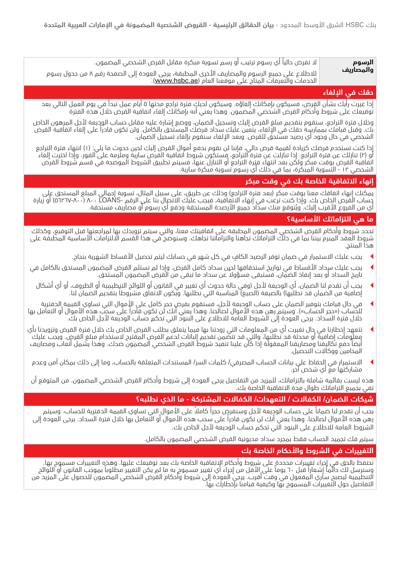#### **الرسوم والمصاريف**

ال نفرض حالياً أي رسوم ترتيب أو رسم تسوية مبكرة مقابل القرض الشخصي المضمون.

لالطالع على جميع الرسوم والمصاريف األخرى المطبقة، يرجى العودة إلى الصفحة رقم 8 من جدول رسوم الخدمات والتعرفات المتاح على موقعنا العام (<u>www.hsbc.ae</u>).

## **حقك في اإللغاء**

إذا غيرت رأيك بشأن القرض، فسيكون بإمكانك إلغاؤه. وسيكون لديك فترة تراجع مدتها 5 أيام عمل تبدأ في يوم العمل التالي بعد توقيعك على شروط وأحكام القرض الشخصي المضمون. وهذا يعني أنه بإمكانك إلغاء اتفاقية القرض خالل هذه الفترة

وخالل فترة التراجع، سنقوم بتقديم مبلغ القرض إليك وتسجيل الضمان، ووضع إشارة عليه مقابل حساب الوديعة ألجل المرهون الخاص بك. وقبل قيامك بممارسة حقك في اإللغاء، يتعين عليك سداد قرضك المستحق بالكامل. ولن تكون قادراً على إلغاء اتفاقية القرض الشخصي في حال وجود أي رصيد مستحق للقرض. وبعد الإلغاء سنقوم بإلغاء تسجيل الضمان.

إذا كنت تستخدم قرضك كزيادة لقيمة قرض حالي، فإننا لن نقوم بدفع أموال القرض إليك لحين حدوث ما يلي: )1( انتهاء فترة التراجع او (٢) تنازلك عن فترة التراجع. إذا تنازلت عن فترة التراجع، فستكون شروط اتفاقية القرض سارية وملزمة على الفور. وإذا اخترت إلغاء اتفاقية القرض بوقت مبكر ولكن بعد انتهاء فترة التراجع أو التنازل عنها، فسيتم تطبيق الشروط الموضحة في قسم شروط القرض الشخصي 12 - التسوية المبكرة، بما في ذلك أي رسوم تسوية مبكرة سارية.

## **إنهاء االتفاقية الخاصة بك في وقت مبكر**

يمكنك إنهاء اتفاقك معنا بوقت مبكر (بعد فترة التراجع) وذلك عن طريق، على سبيل المثال، تسوية إجمالي المبلغ المستحق على حساب القرض الخاص بك. وإذا كنت ترغب في إنهاء االتفاقية، فيجب عليك االتصال بنا على الرقم -LOANS 800( 56267-800 )أو زيارة ُ أي من الفروع األقرب إليك. ويتوقع منك سداد جميع األرصدة المستحقة ودفع أي رسوم أو مصاريف مستحقة.

## **ما هي التزاماتك األساسية؟**

تحدد شروط وأحكام القرض الشخصي المضمون المطبقة على اتفاقيتك معنا، والتي سيتم تزويدك بها لمراجعتها قبل التوقيع، وكذلك شروط العقد المبرم بيننا بما في ذلك التزاماتك تجاهنا والتزاماتنا تجاهك. وسنوضح في هذا القسم االلتزامات األساسية المطبقة على هذا المنتج.

- <sup>t</sup> يجب عليك االستمرار في ضمان توفر الرصيد الكافٍ في كل شهر في حسابك ليتم تحصيل األقساط الشهرية بنجاح.
- <sup>t</sup> يجب عليك سداد األقساط في تواريخ استحقاقها لحين سداد كامل القرض. وإذا لم نستلم القرض المضمون المستحق بالكامل في ً تاريخ السداد أو بعد إنفاذ الضمان، فستبقى مسؤوال عن سداد ما تبقى من القرض المضمون المستحق.
	- ▶ يجب أن تقدم لنا الضمان، أي الوديعة لأجل (وفي حالة حدوث أي تغيير في القانون أو اللوائح التنٍظيمية أو الظروف، أو أي أشكال إضافية من الضمان قد نطلبها) بالصيغة (الصيغ) المناسبة التي نطلبها. ويكون الاتفاق مشروطاً بتقديم الضمان لنا.
- في حال قيامك بتوفير الضمان على حساب الوديعة لأجل، فسنقوم بفرض حجر كامل على الأموال التي تساوي القيمة الدفترية للحساب («حجر الحساب»). وسيتم رهن هذه الأموال لصالحنا. وهذا يعني أنك لن تكون قادراً على سحب هذه الأموال أو التعامل بها خالل فترة السداد. يرجى العودة إلى الشروط العامة لالطالع على البنود التي تحكم حساب الوديعة ألجل الخاص بك.
- <sup>t</sup> تتعهد إخطارنا في حال تغيرت أي من المعلومات التي زودتنا بها فيما يتعلق بطلب القرض الخاص بك خالل فترة القرض وتزويدنا بأي معلومات إضافية أو محدثة قد نطلبها، والتي قد تتضمن تقديم إثباتات لدعم الغرض المقترح الستخدام مبلغ القرض. ويجب عليك أيضاً دفع تكاليفنا ومصاريفنا المعقولة إذا كان علينا تنفيذ شروط القرض الشخصي المضمون ضدك. وهذا يشمل أتعاب ومصاريف المحامين ووكاالت التحصيل.
- <sup>t</sup> االستمرار في الحفاظ على بيانات الحساب المصرفي/ كلمات السر/ المستندات المتعلقة بالحساب، وما إلى ذلك بمكان آمن وعدم مشاركتها مع أي شخص آخر.

هذه ليست بقائمة شاملة بالتزاماتك، للمزيد من التفاصيل يرجى العودة إلى شروط وأحكام القرض الشخصي المضمون. من المتوقع أن تفي بجميع التزاماتك طوال مدة االتفاقية الخاصة بك.

## **شيكات الضمان/ الكفاالت / التعهدات/ الكفاالت المشتركة - ما الذي نطلبه؟**

يجب أن تقدم لنا ضماناً على حساب الوديعة لأجل وسنفرض حجراً كاملاً على الأموال التي تساوي القيمة الدفترية للحساب. وسيتم رهن هذه الأموال لصالحنا. وهذا يعني أنك لن تكون قادراً على سحب هذه الأموال أو التعامل بها خلال فترة السداد. يرجى العودة إلى الشروط العامة لالطالع على البنود التي تحكم حساب الوديعة ألجل الخاص بك.

سيتم فك تجميد الحساب فقط بمجرد سداد مديونية القرض الشخصي المضمون بالكامل.

## **التغييرات في الشروط واألحكام الخاصة بك**

نحتفظ بالحق في إجراء تغييرات محددة على شروط واحكام الٍاتفاقية الخاصة بك بعد توقيعك عليها. وهذه التغييرات مسموح بها. وسنرسل لك دائماً إشعاراً قبل ٦٠ يوماً على الأقل من إجراء أي تغيير مسموح به ما لم يكن التغيير مطلوباً بموجب القانون أو اللوائح التنظيمية ليصبح ساري المفعول في وقت أقرب. يرجى العودة إلى شروط وأحكام القرض الشخصي المضمون للحصول على المزيد من التفاصيل حول التغييرات المسموح بها وكيفية قيامنا بإخطارك بها.